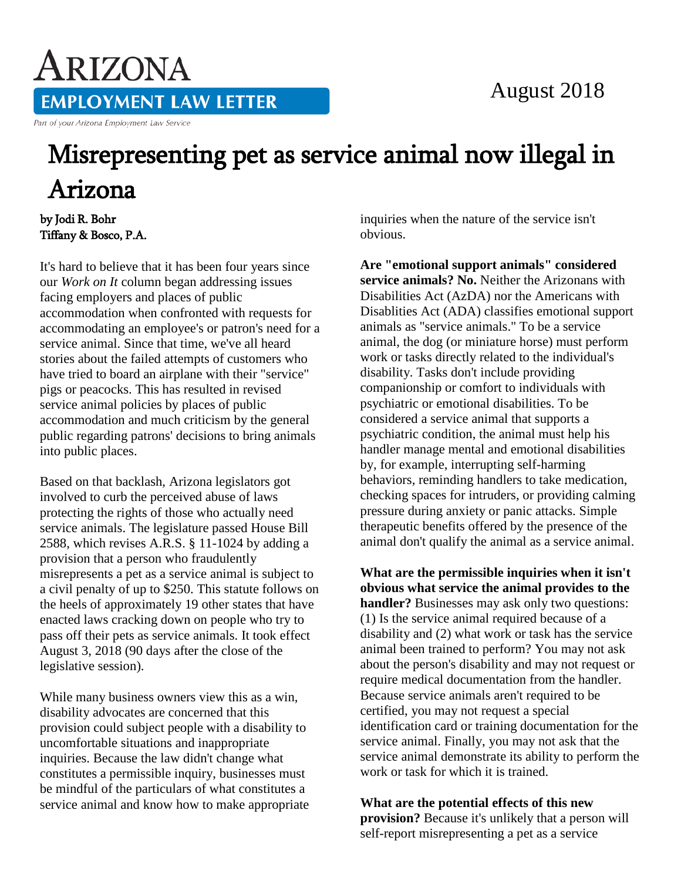## August 2018

**EMPLOYMENT LAW LETTER** 

Part of your Arizona Employment Law Service

ARIZONA

## Misrepresenting pet as service animal now illegal in Arizona

by Jodi R. Bohr Tiffany & Bosco, P.A.

It's hard to believe that it has been four years since our *Work on It* column began addressing issues facing employers and places of public accommodation when confronted with requests for accommodating an employee's or patron's need for a service animal. Since that time, we've all heard stories about the failed attempts of customers who have tried to board an airplane with their "service" pigs or peacocks. This has resulted in revised service animal policies by places of public accommodation and much criticism by the general public regarding patrons' decisions to bring animals into public places.

Based on that backlash, Arizona legislators got involved to curb the perceived abuse of laws protecting the rights of those who actually need service animals. The legislature passed House Bill 2588, which revises A.R.S. § 11-1024 by adding a provision that a person who fraudulently misrepresents a pet as a service animal is subject to a civil penalty of up to \$250. This statute follows on the heels of approximately 19 other states that have enacted laws cracking down on people who try to pass off their pets as service animals. It took effect August 3, 2018 (90 days after the close of the legislative session).

While many business owners view this as a win, disability advocates are concerned that this provision could subject people with a disability to uncomfortable situations and inappropriate inquiries. Because the law didn't change what constitutes a permissible inquiry, businesses must be mindful of the particulars of what constitutes a service animal and know how to make appropriate inquiries when the nature of the service isn't obvious.

**Are "emotional support animals" considered service animals? No.** Neither the Arizonans with Disabilities Act (AzDA) nor the Americans with Disablities Act (ADA) classifies emotional support animals as "service animals." To be a service animal, the dog (or miniature horse) must perform work or tasks directly related to the individual's disability. Tasks don't include providing companionship or comfort to individuals with psychiatric or emotional disabilities. To be considered a service animal that supports a psychiatric condition, the animal must help his handler manage mental and emotional disabilities by, for example, interrupting self-harming behaviors, reminding handlers to take medication, checking spaces for intruders, or providing calming pressure during anxiety or panic attacks. Simple therapeutic benefits offered by the presence of the animal don't qualify the animal as a service animal.

**What are the permissible inquiries when it isn't obvious what service the animal provides to the handler?** Businesses may ask only two questions: (1) Is the service animal required because of a disability and (2) what work or task has the service animal been trained to perform? You may not ask about the person's disability and may not request or require medical documentation from the handler. Because service animals aren't required to be certified, you may not request a special identification card or training documentation for the service animal. Finally, you may not ask that the service animal demonstrate its ability to perform the work or task for which it is trained.

## **What are the potential effects of this new provision?** Because it's unlikely that a person will self-report misrepresenting a pet as a service